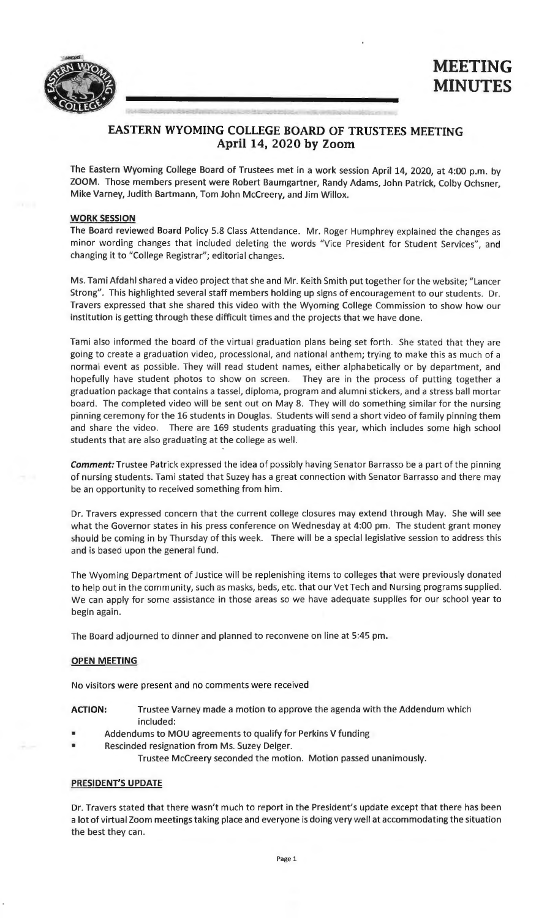

# **EASTERN WYOMING COLLEGE BOARD OF TRUSTEES MEETING April 14, 2020 by Zoom**

The Eastern Wyoming College Board of Trustees met in a work session April 14, 2020, at 4:00 p.m. by ZOOM. Those members present were Robert Baumgartner, Randy Adams, John Patrick, Colby Ochsner, Mike Varney, Judith Bartmann, Tom John Mccreery, and Jim Willox.

#### **WORK SESSION**

The Board reviewed Board Policy 5.8 Class Attendance. Mr. Roger Humphrey explained the changes as minor wording changes that included deleting the words "Vice President for Student Services", and changing it to "College Registrar"; editorial changes.

Ms. Tami Afdahl shared a video project that she and Mr. Keith Smith put together for the website; "Lancer Strong". This highlighted several staff members holding up signs of encouragement to our students. Dr. Travers expressed that she shared this video with the Wyoming College Commission to show how our institution is getting through these difficult times and the projects that we have done.

Tami also informed the board of the virtual graduation plans being set forth. She stated that they are going to create a graduation video, processional, and national anthem; trying to make this as much of a normal event as possible. They will read student names, either alphabetically or by department, and hopefully have student photos to show on screen. They are in the process of putting together a graduation package that contains a tassel, diploma, program and alumni stickers, and a stress ball mortar board. The completed video will be sent out on May 8. They will do something similar for the nursing pinning ceremony for the 16 students in Douglas. Students will send a short video of family pinning them and share the video. There are 169 students graduating this year, which includes some high school students that are also graduating at the college as well.

**Comment:** Trustee Patrick expressed the idea of possibly having Senator Barrasso be a part of the pinning of nursing students. Tami stated that Suzey has a great connection with Senator Barrasso and there may be an opportunity to received something from him.

Dr. Travers expressed concern that the current college closures may extend through May. She will see what the Governor states in his press conference on Wednesday at 4:00 pm. The student grant money should be coming in by Thursday of this week. There will be a special legislative session to address this and is based upon the general fund.

The Wyoming Department of Justice will be replenishing items to colleges that were previously donated to help out in the community, such as masks, beds, etc. that our Vet Tech and Nursing programs supplied. We can apply for some assistance in those areas so we have adequate supplies for our school year to begin again.

The Board adjourned to dinner and planned to reconvene on line at 5:45 pm.

### **OPEN MEETING**

No visitors were present and no comments were received

- **ACTION:** Trustee Varney made a motion to approve the agenda with the Addendum which included:
- Addendums to MOU agreements to qualify for Perkins V funding
- Rescinded resignation from Ms. Suzey Delger.

Trustee Mccreery seconded the motion. Motion passed unanimously.

### **PRESIDENT'S UPDATE**

Dr. Travers stated that there wasn't much to report in the President's update except that there has been a lot of virtual Zoom meetings taking place and everyone is doing very well at accommodating the situation the best they can.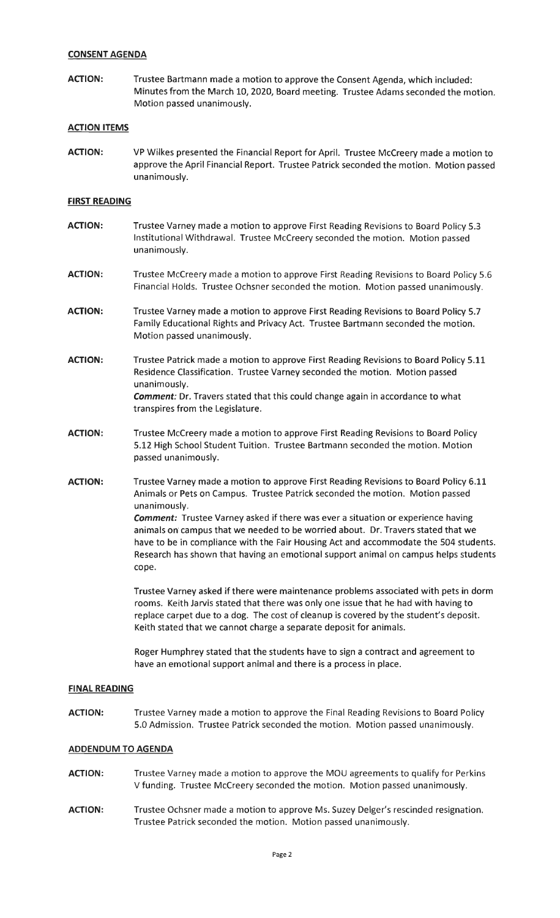### **CONSENT AGENDA**

**ACTION:** Trustee Bartmann made a motion to approve the Consent Agenda, which included: Minutes from the March 10, 2020, Board meeting. Trustee Adams seconded the motion. Motion passed unanimously.

#### **ACTION ITEMS**

**ACTION:** VP Wilkes presented the Financial Report for April. Trustee Mccreery made a motion to approve the April Financial Report. Trustee Patrick seconded the motion. Motion passed unanimously.

#### **FIRST READING**

- **ACTION:** Trustee Varney made a motion to approve First Reading Revisions to Board Policy 5.3 Institutional Withdrawal. Trustee Mccreery seconded the motion. Motion passed unanimously.
- **ACTION:** Trustee Mccreery made a motion to approve First Reading Revisions to Board Policy 5.6 Financial Holds. Trustee Ochsner seconded the motion. Motion passed unanimously.
- **ACTION:** Trustee Varney made a motion to approve First Reading Revisions to Board Policy 5.7 Family Educational Rights and Privacy Act. Trustee Bartmann seconded the motion. Motion passed unanimously.
- **ACTION:** Trustee Patrick made a motion to approve First Reading Revisions to Board Policy 5.11 Residence Classification. Trustee Varney seconded the motion. Motion passed unanimously. **Comment:** Dr. Travers stated that this could change again in accordance to what transpires from the Legislature.
- **ACTION:** Trustee Mccreery made a motion to approve First Reading Revisions to Board Policy 5.12 High School Student Tuition. Trustee Bartmann seconded the motion. Motion passed unanimously.
- **ACTION:** Trustee Varney made a motion to approve First Reading Revisions to Board Policy 6.11 Animals or Pets on Campus. Trustee Patrick seconded the motion. Motion passed unanimously. **Comment:** Trustee Varney asked if there was ever a situation or experience having animals on campus that we needed to be worried about. Dr. Travers stated that we have to be in compliance with the Fair Housing Act and accommodate the 504 students. Research has shown that having an emotional support animal on campus helps students cope.

Trustee Varney asked if there were maintenance problems associated with pets in dorm rooms. Keith Jarvis stated that there was only one issue that he had with having to replace carpet due to a dog. The cost of cleanup is covered by the student's deposit. Keith stated that we cannot charge a separate deposit for animals.

Roger Humphrey stated that the students have to sign a contract and agreement to have an emotional support animal and there is a process in place.

#### **FINAL READING**

**ACTION:** Trustee Varney made a motion to approve the Final Reading Revisions to Board Policy 5.0 Admission. Trustee Patrick seconded the motion. Motion passed unanimously.

### **ADDENDUM TO AGENDA**

- **ACTION:** Trustee Varney made a motion to approve the MOU agreements to qualify for Perkins V funding. Trustee Mccreery seconded the motion. Motion passed unanimously.
- **ACTION:** Trustee Ochsner made a motion to approve Ms. Suzey Delger's rescinded resignation. Trustee Patrick seconded the motion. Motion passed unanimously.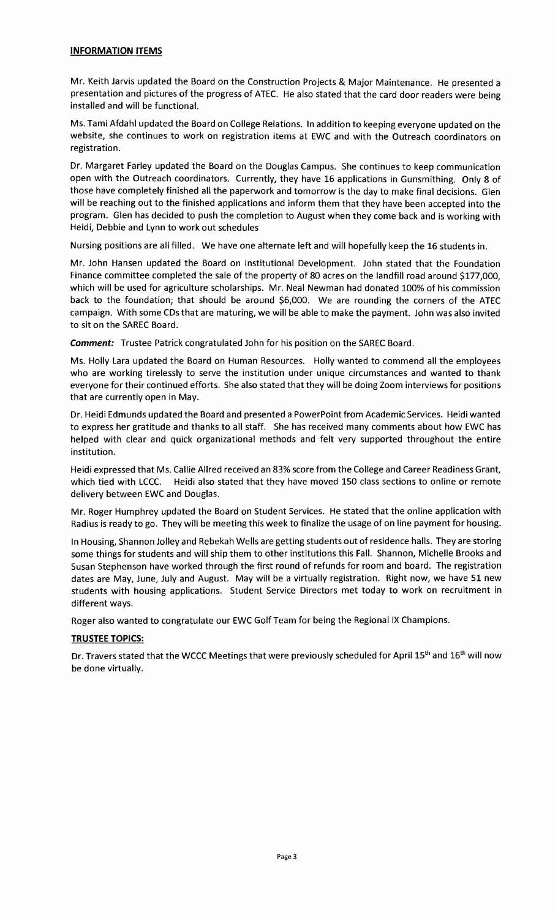### **INFORMATION ITEMS**

Mr. Keith Jarvis updated the Board on the Construction Projects & Major Maintenance. He presented a presentation and pictures of the progress of ATEC. He also stated that the card door readers were being installed and will be functional.

Ms. Tami Afdahl updated the Board on College Relations. In addition to keeping everyone updated on the website, she continues to work on registration items at EWC and with the Outreach coordinators on registration.

Dr. Margaret Farley updated the Board on the Douglas Campus. She continues to keep communication open with the Outreach coordinators. Currently, they have 16 applications in Gunsmithing. Only 8 of those have completely finished all the paperwork and tomorrow is the day to make final decisions. Glen will be reaching out to the finished applications and inform them that they have been accepted into the program. Glen has decided to push the completion to August when they come back and is working with Heidi, Debbie and Lynn to work out schedules

Nursing positions are all filled. We have one alternate left and will hopefully keep the 16 students in.

Mr. John Hansen updated the Board on Institutional Development. John stated that the Foundation Finance committee completed the sale of the property of 80 acres on the landfill road around \$177,000, which will be used for agriculture scholarships. Mr. Neal Newman had donated 100% of his commission back to the foundation; that should be around \$6,000. We are rounding the corners of the ATEC campaign. With some CDs that are maturing, we will be able to make the payment. John was also invited to sit on the SAREC Board.

**Comment:** Trustee Patrick congratulated John for his position on the SAREC Board.

Ms. Holly Lara updated the Board on Human Resources. Holly wanted to commend all the employees who are working tirelessly to serve the institution under unique circumstances and wanted to thank everyone for their continued efforts. She also stated that they will be doing Zoom interviews for positions that are currently open in May.

Dr. Heidi Edmunds updated the Board and presented a PowerPoint from Academic Services. Heidi wanted to express her gratitude and thanks to all staff. She has received many comments about how EWC has helped with clear and quick organizational methods and felt very supported throughout the entire institution.

Heidi expressed that Ms. Callie Allred received an 83% score from the College and Career Readiness Grant, which tied with LCCC. Heidi also stated that they have moved 150 class sections to online or remote delivery between EWC and Douglas.

Mr. Roger Humphrey updated the Board on Student Services. He stated that the online application with Radius is ready to go. They will be meeting this week to finalize the usage of on line payment for housing.

In Housing, Shannon Jolley and Rebekah Wells are getting students out of residence halls. They are storing some things for students and will ship them to other institutions this Fall. Shannon, Michelle Brooks and Susan Stephenson have worked through the first round of refunds for room and board. The registration dates are May, June, July and August. May will be a virtually registration. Right now, we have 51 new students with housing applications. Student Service Directors met today to work on recruitment in different ways.

Roger also wanted to congratulate our EWC Golf Team for being the Regional IX Champions.

## **TRUSTEE TOPICS:**

Dr. Travers stated that the WCCC Meetings that were previously scheduled for April 15<sup>th</sup> and 16<sup>th</sup> will now be done virtually.